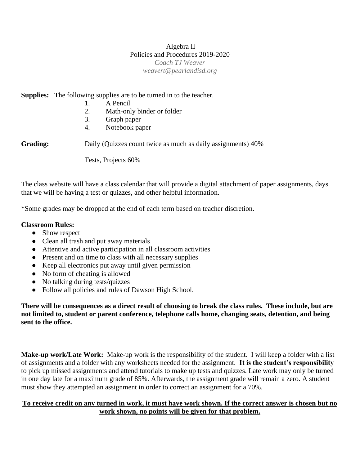#### Algebra II Policies and Procedures 2019-2020 *Coach TJ Weaver weavert@pearlandisd.org*

**Supplies:** The following supplies are to be turned in to the teacher.

- 1. A Pencil
- 2. Math-only binder or folder
- 3. Graph paper
- 4. Notebook paper

**Grading:** Daily (Quizzes count twice as much as daily assignments) 40%

Tests, Projects 60%

The class website will have a class calendar that will provide a digital attachment of paper assignments, days that we will be having a test or quizzes, and other helpful information.

\*Some grades may be dropped at the end of each term based on teacher discretion.

#### **Classroom Rules:**

- Show respect
- Clean all trash and put away materials
- Attentive and active participation in all classroom activities
- Present and on time to class with all necessary supplies
- Keep all electronics put away until given permission
- No form of cheating is allowed
- No talking during tests/quizzes
- Follow all policies and rules of Dawson High School.

**There will be consequences as a direct result of choosing to break the class rules. These include, but are not limited to, student or parent conference, telephone calls home, changing seats, detention, and being sent to the office.**

**Make-up work/Late Work:** Make-up work is the responsibility of the student. I will keep a folder with a list of assignments and a folder with any worksheets needed for the assignment. **It is the student's responsibility** to pick up missed assignments and attend tutorials to make up tests and quizzes. Late work may only be turned in one day late for a maximum grade of 85%. Afterwards, the assignment grade will remain a zero. A student must show they attempted an assignment in order to correct an assignment for a 70%.

### **To receive credit on any turned in work, it must have work shown. If the correct answer is chosen but no work shown, no points will be given for that problem.**